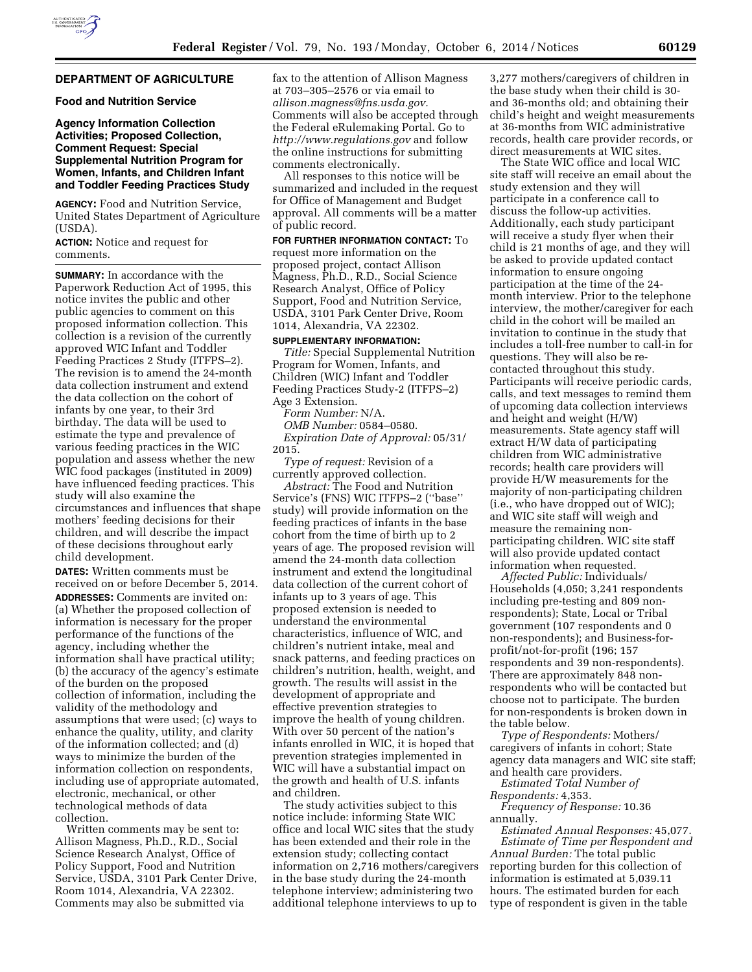# **DEPARTMENT OF AGRICULTURE**

**Food and Nutrition Service** 

## **Agency Information Collection Activities; Proposed Collection, Comment Request: Special Supplemental Nutrition Program for Women, Infants, and Children Infant and Toddler Feeding Practices Study**

**AGENCY:** Food and Nutrition Service, United States Department of Agriculture (USDA).

**ACTION:** Notice and request for comments.

**SUMMARY:** In accordance with the Paperwork Reduction Act of 1995, this notice invites the public and other public agencies to comment on this proposed information collection. This collection is a revision of the currently approved WIC Infant and Toddler Feeding Practices 2 Study (ITFPS–2). The revision is to amend the 24-month data collection instrument and extend the data collection on the cohort of infants by one year, to their 3rd birthday. The data will be used to estimate the type and prevalence of various feeding practices in the WIC population and assess whether the new WIC food packages (instituted in 2009) have influenced feeding practices. This study will also examine the circumstances and influences that shape mothers' feeding decisions for their children, and will describe the impact of these decisions throughout early child development.

**DATES:** Written comments must be received on or before December 5, 2014. **ADDRESSES:** Comments are invited on: (a) Whether the proposed collection of information is necessary for the proper performance of the functions of the agency, including whether the information shall have practical utility; (b) the accuracy of the agency's estimate of the burden on the proposed collection of information, including the validity of the methodology and assumptions that were used; (c) ways to enhance the quality, utility, and clarity of the information collected; and (d) ways to minimize the burden of the information collection on respondents, including use of appropriate automated, electronic, mechanical, or other technological methods of data collection.

Written comments may be sent to: Allison Magness, Ph.D., R.D., Social Science Research Analyst, Office of Policy Support, Food and Nutrition Service, USDA, 3101 Park Center Drive, Room 1014, Alexandria, VA 22302. Comments may also be submitted via

fax to the attention of Allison Magness at 703–305–2576 or via email to *[allison.magness@fns.usda.gov.](mailto:allison.magness@fns.usda.gov)*  Comments will also be accepted through the Federal eRulemaking Portal. Go to *<http://www.regulations.gov>* and follow the online instructions for submitting comments electronically.

All responses to this notice will be summarized and included in the request for Office of Management and Budget approval. All comments will be a matter of public record.

**FOR FURTHER INFORMATION CONTACT:** To request more information on the proposed project, contact Allison Magness, Ph.D., R.D., Social Science Research Analyst, Office of Policy Support, Food and Nutrition Service, USDA, 3101 Park Center Drive, Room 1014, Alexandria, VA 22302.

#### **SUPPLEMENTARY INFORMATION:**

*Title:* Special Supplemental Nutrition Program for Women, Infants, and Children (WIC) Infant and Toddler Feeding Practices Study-2 (ITFPS–2) Age 3 Extension.

*Form Number:* N/A.

*OMB Number:* 0584–0580. *Expiration Date of Approval:* 05/31/ 2015.

*Type of request:* Revision of a currently approved collection.

*Abstract:* The Food and Nutrition Service's (FNS) WIC ITFPS–2 (''base'' study) will provide information on the feeding practices of infants in the base cohort from the time of birth up to 2 years of age. The proposed revision will amend the 24-month data collection instrument and extend the longitudinal data collection of the current cohort of infants up to 3 years of age. This proposed extension is needed to understand the environmental characteristics, influence of WIC, and children's nutrient intake, meal and snack patterns, and feeding practices on children's nutrition, health, weight, and growth. The results will assist in the development of appropriate and effective prevention strategies to improve the health of young children. With over 50 percent of the nation's infants enrolled in WIC, it is hoped that prevention strategies implemented in WIC will have a substantial impact on the growth and health of U.S. infants and children.

The study activities subject to this notice include: informing State WIC office and local WIC sites that the study has been extended and their role in the extension study; collecting contact information on 2,716 mothers/caregivers in the base study during the 24-month telephone interview; administering two additional telephone interviews to up to

3,277 mothers/caregivers of children in the base study when their child is 30 and 36-months old; and obtaining their child's height and weight measurements at 36-months from WIC administrative records, health care provider records, or direct measurements at WIC sites.

The State WIC office and local WIC site staff will receive an email about the study extension and they will participate in a conference call to discuss the follow-up activities. Additionally, each study participant will receive a study flyer when their child is 21 months of age, and they will be asked to provide updated contact information to ensure ongoing participation at the time of the 24 month interview. Prior to the telephone interview, the mother/caregiver for each child in the cohort will be mailed an invitation to continue in the study that includes a toll-free number to call-in for questions. They will also be recontacted throughout this study. Participants will receive periodic cards, calls, and text messages to remind them of upcoming data collection interviews and height and weight (H/W) measurements. State agency staff will extract H/W data of participating children from WIC administrative records; health care providers will provide H/W measurements for the majority of non-participating children (i.e., who have dropped out of WIC); and WIC site staff will weigh and measure the remaining nonparticipating children. WIC site staff will also provide updated contact information when requested.

*Affected Public:* Individuals/ Households (4,050; 3,241 respondents including pre-testing and 809 nonrespondents); State, Local or Tribal government (107 respondents and 0 non-respondents); and Business-forprofit/not-for-profit (196; 157 respondents and 39 non-respondents). There are approximately 848 nonrespondents who will be contacted but choose not to participate. The burden for non-respondents is broken down in the table below.

*Type of Respondents:* Mothers/ caregivers of infants in cohort; State agency data managers and WIC site staff; and health care providers.

*Estimated Total Number of Respondents:* 4,353.

*Frequency of Response:* 10.36 annually.

*Estimated Annual Responses:* 45,077. *Estimate of Time per Respondent and Annual Burden:* The total public reporting burden for this collection of information is estimated at 5,039.11 hours. The estimated burden for each type of respondent is given in the table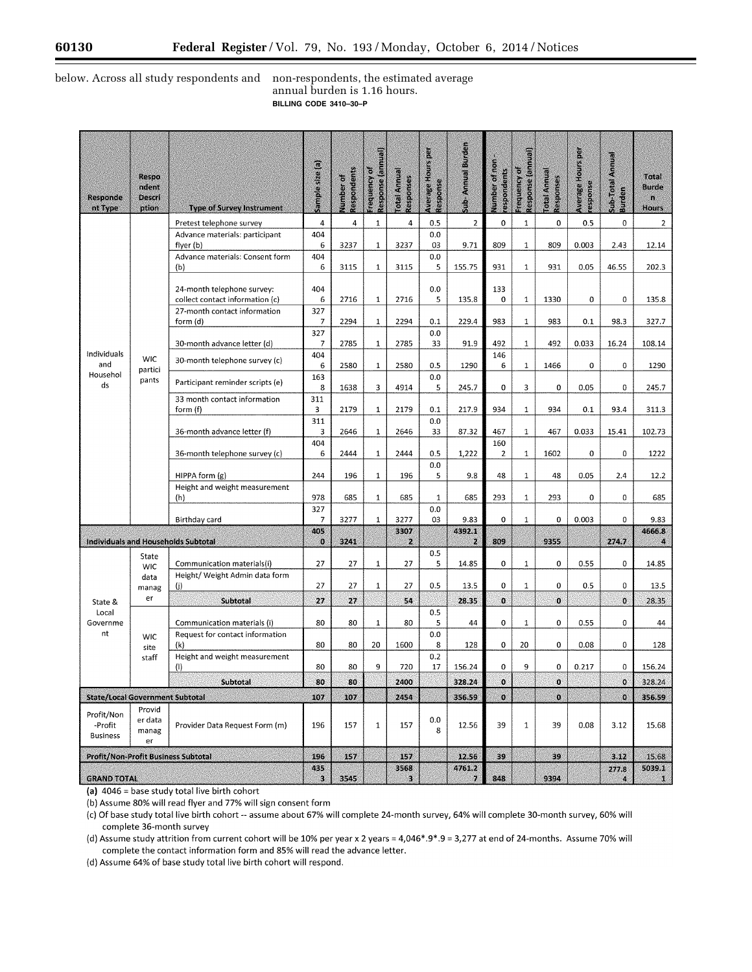$\equiv$ 

# below. Across all study respondents and non-respondents, the estimated average

# annual burden is 1.16 hours. **BILLING CODE 3410–30–P**

| 4<br>0<br>0<br>0.5<br>$\mathbf 0$<br>Pretest telephone survey<br>4<br>1<br>4<br>0.5<br>2<br>$\mathbf{1}$<br>$\overline{2}$<br>404<br>0,0<br>Advance materials: participant<br>6<br>3237<br>3237<br>03<br>9.71<br>809<br>$\mathbf{1}$<br>809<br>0.003<br>2.43<br>flyer (b)<br>1<br>12.14<br>Advance materials: Consent form<br>404<br>0.0<br>6<br>3115<br>3115<br>5<br>155.75<br>931<br>$\mathbf{1}$<br>931<br>0.05<br>46.55<br>202.3<br>(b)<br>$\mathbf{1}$<br>404<br>0.0<br>133<br>24-month telephone survey:<br>5<br>135.8<br>$\bf{0}$<br>$\mathbf{1}$<br>1330<br>0<br>0<br>135.8<br>collect contact information (c)<br>6<br>2716<br>$\mathbf{1}$<br>2716<br>327<br>27-month contact information<br>2294<br>2294<br>0.1<br>229.4<br>983<br>$\mathbf{1}$<br>983<br>0.1<br>98.3<br>327.7<br>form (d)<br>7<br>1<br>327<br>0.0<br>30-month advance letter (d)<br>2785<br>2785<br>33<br>91.9<br>492<br>$\mathbf{1}$<br>492<br>0.033<br>16.24<br>108.14<br>7<br>1<br>Individuals<br>146<br>404<br><b>WIC</b><br>30-month telephone survey (c)<br>and<br>6<br>2580<br>$\mathbf{1}$<br>2580<br>0.5<br>1290<br>6<br>$\mathbf{1}$<br>1466<br>0<br>0<br>1290<br>partici<br>Househol<br>163<br>0.0<br>pants<br>Participant reminder scripts (e)<br>ds<br>0<br>3<br>0<br>0.05<br>8<br>1638<br>3<br>4914<br>5<br>245.7<br>0<br>245.7<br>311<br>33 month contact information<br>2179<br>217.9<br>934<br>$\mathbf{1}$<br>934<br>93.4<br>311.3<br>form (f)<br>3<br>2179<br>$\mathbf{1}$<br>0.1<br>0.1<br>311<br>0.0<br>2646<br>2646<br>467<br>$\mathbf{1}$<br>467<br>0.033<br>15.41<br>102.73<br>36-month advance letter (f)<br>з<br>1<br>33<br>87.32<br>404<br>160<br>36-month telephone survey (c)<br>6<br>2444<br>2444<br>0.5<br>1,222<br>$\mathbf{1}$<br>1602<br>0<br>0<br>1222<br>1<br>$\overline{2}$<br>0.0<br>HIPPA form (g)<br>244<br>196<br>$\mathbf 1$<br>196<br>5<br>9.8<br>48<br>$\mathbf{1}$<br>48<br>0.05<br>2.4<br>12.2<br>Height and weight measurement<br>978<br>293<br>$\mathbf 1$<br>0<br>685<br>$\mathbf{1}$<br>685<br>$\mathbf{1}$<br>685<br>293<br>0<br>685<br>(h)<br>327<br>0.0<br>3277<br>03<br>9.83<br>$\mathbf 0$<br>$\mathbf 1$<br>0<br>0.003<br>0<br>9.83<br>Birthday card<br>3277<br>$1\,$<br>7<br>405<br>3307<br>4392.1<br>4666.8<br>Individuals and Households Subtotal<br>809<br>9355<br>274.7<br>$\mathbf{0}$<br>3241<br>$\mathbf{z}$<br>$\mathbf{z}$<br>$\boldsymbol{a}$<br>0.5<br>State<br>27<br>27<br>0<br>$\mathbf 0$<br>27<br>5<br>14.85<br>$\mathbf 1$<br>0.55<br>0<br>14.85<br>Communication materials(i)<br>1<br><b>WIC</b><br>Height/ Weight Admin data form<br>data<br>27<br>27<br>0<br>0<br>$\mathbf 0$<br>$\mathbf{1}$<br>27<br>0.5<br>13.5<br>$\mathbf 1$<br>0.5<br>13.5<br>(i)<br>manag<br>er<br>$\mathbf{o}$<br>Subtotal<br>27<br>27<br>28.35<br>$\mathbf 0$<br>$\mathbf 0$<br>54<br>28.35<br>State &<br>0.5<br>Local<br>80<br>80<br>0<br>$\mathbf 1$<br>0<br>0.55<br>0<br>Governme<br>Communication materials (i)<br>$\mathbf{1}$<br>80<br>5<br>44<br>44<br>nt<br>0.0<br>Request for contact information<br><b>WIC</b><br>80<br>8<br>$\mathbf 0$<br>20<br>0<br>$\bf{0}$<br>80<br>20<br>1600<br>128<br>0.08<br>128<br>(k)<br>site<br>0.2<br>Height and weight measurement<br>staff<br>80<br>80<br>9<br>720<br>17<br>156.24<br>0<br>9<br>0<br>0<br>156.24<br>(1)<br>0.217<br>2400<br>$\mathbf{O}$<br>80<br>80<br>328.24<br>$\mathbf{0}$<br>328.24<br>Subtotal<br>$\mathbf{0}$<br>o<br>o<br>107<br>107<br>2454<br>356.59<br>$\bullet$<br>356.59<br><b>State/Local Government Subtotal</b><br>Provid<br>Profit/Non<br>0.0<br>er data<br>-Profit<br>Provider Data Request Form (m)<br>196<br>157<br>$\mathbf{1}$<br>157<br>12.56<br>39<br>$\mathbf 1$<br>39<br>0.08<br>3.12<br>15.68<br>8<br>manag<br><b>Business</b><br>er<br>Profit/Non-Profit Business Subtotal<br>196<br>157<br>157<br>12.56<br>39<br>39<br>3.12<br>15.68<br>435<br>3568<br>4761.2<br>5039.1<br>277.8<br>3545<br>848<br>9394<br>$\overline{\mathbf{3}}$<br>3<br><b>GRAND TOTAL</b><br>7.<br>$\mathbf{I}$<br>A | <b>Responde</b><br>nt Type | Respo<br>ndent<br>Descri<br>ption | <b>Type of Survey Instrument</b> | Sample size (a) | Respondents<br>Number of | Response (annual)<br>Ö<br>Frequency | Isunna Isto<br>Responses | <b>Average Hours per</b><br>Response | Sub-Annual Burden | Number of non<br>respondents | Response (annual)<br>frequency of | otal Annual<br>Responses | <b>Average Hours per</b><br>esponse | <b>Sub-Total Annual</b><br>Burden | Total<br>Burde<br>ß.<br>Hours |
|----------------------------------------------------------------------------------------------------------------------------------------------------------------------------------------------------------------------------------------------------------------------------------------------------------------------------------------------------------------------------------------------------------------------------------------------------------------------------------------------------------------------------------------------------------------------------------------------------------------------------------------------------------------------------------------------------------------------------------------------------------------------------------------------------------------------------------------------------------------------------------------------------------------------------------------------------------------------------------------------------------------------------------------------------------------------------------------------------------------------------------------------------------------------------------------------------------------------------------------------------------------------------------------------------------------------------------------------------------------------------------------------------------------------------------------------------------------------------------------------------------------------------------------------------------------------------------------------------------------------------------------------------------------------------------------------------------------------------------------------------------------------------------------------------------------------------------------------------------------------------------------------------------------------------------------------------------------------------------------------------------------------------------------------------------------------------------------------------------------------------------------------------------------------------------------------------------------------------------------------------------------------------------------------------------------------------------------------------------------------------------------------------------------------------------------------------------------------------------------------------------------------------------------------------------------------------------------------------------------------------------------------------------------------------------------------------------------------------------------------------------------------------------------------------------------------------------------------------------------------------------------------------------------------------------------------------------------------------------------------------------------------------------------------------------------------------------------------------------------------------------------------------------------------------------------------------------------------------------------------------------------------------------------------------------------------------------------------------------------------------------------------------------------------------------------------------------------------------------------------------------------------------------------------------------------------------------------------------------------------------------------------------------------------------------------------------------------------------------------------------------------------------------------------------------------------------------------------------------------------------------------------------------------------------------------------------------------------------------------------------------------|----------------------------|-----------------------------------|----------------------------------|-----------------|--------------------------|-------------------------------------|--------------------------|--------------------------------------|-------------------|------------------------------|-----------------------------------|--------------------------|-------------------------------------|-----------------------------------|-------------------------------|
|                                                                                                                                                                                                                                                                                                                                                                                                                                                                                                                                                                                                                                                                                                                                                                                                                                                                                                                                                                                                                                                                                                                                                                                                                                                                                                                                                                                                                                                                                                                                                                                                                                                                                                                                                                                                                                                                                                                                                                                                                                                                                                                                                                                                                                                                                                                                                                                                                                                                                                                                                                                                                                                                                                                                                                                                                                                                                                                                                                                                                                                                                                                                                                                                                                                                                                                                                                                                                                                                                                                                                                                                                                                                                                                                                                                                                                                                                                                                                                                                                |                            |                                   |                                  |                 |                          |                                     |                          |                                      |                   |                              |                                   |                          |                                     |                                   |                               |
|                                                                                                                                                                                                                                                                                                                                                                                                                                                                                                                                                                                                                                                                                                                                                                                                                                                                                                                                                                                                                                                                                                                                                                                                                                                                                                                                                                                                                                                                                                                                                                                                                                                                                                                                                                                                                                                                                                                                                                                                                                                                                                                                                                                                                                                                                                                                                                                                                                                                                                                                                                                                                                                                                                                                                                                                                                                                                                                                                                                                                                                                                                                                                                                                                                                                                                                                                                                                                                                                                                                                                                                                                                                                                                                                                                                                                                                                                                                                                                                                                |                            |                                   |                                  |                 |                          |                                     |                          |                                      |                   |                              |                                   |                          |                                     |                                   |                               |
|                                                                                                                                                                                                                                                                                                                                                                                                                                                                                                                                                                                                                                                                                                                                                                                                                                                                                                                                                                                                                                                                                                                                                                                                                                                                                                                                                                                                                                                                                                                                                                                                                                                                                                                                                                                                                                                                                                                                                                                                                                                                                                                                                                                                                                                                                                                                                                                                                                                                                                                                                                                                                                                                                                                                                                                                                                                                                                                                                                                                                                                                                                                                                                                                                                                                                                                                                                                                                                                                                                                                                                                                                                                                                                                                                                                                                                                                                                                                                                                                                |                            |                                   |                                  |                 |                          |                                     |                          |                                      |                   |                              |                                   |                          |                                     |                                   |                               |
|                                                                                                                                                                                                                                                                                                                                                                                                                                                                                                                                                                                                                                                                                                                                                                                                                                                                                                                                                                                                                                                                                                                                                                                                                                                                                                                                                                                                                                                                                                                                                                                                                                                                                                                                                                                                                                                                                                                                                                                                                                                                                                                                                                                                                                                                                                                                                                                                                                                                                                                                                                                                                                                                                                                                                                                                                                                                                                                                                                                                                                                                                                                                                                                                                                                                                                                                                                                                                                                                                                                                                                                                                                                                                                                                                                                                                                                                                                                                                                                                                |                            |                                   |                                  |                 |                          |                                     |                          |                                      |                   |                              |                                   |                          |                                     |                                   |                               |
|                                                                                                                                                                                                                                                                                                                                                                                                                                                                                                                                                                                                                                                                                                                                                                                                                                                                                                                                                                                                                                                                                                                                                                                                                                                                                                                                                                                                                                                                                                                                                                                                                                                                                                                                                                                                                                                                                                                                                                                                                                                                                                                                                                                                                                                                                                                                                                                                                                                                                                                                                                                                                                                                                                                                                                                                                                                                                                                                                                                                                                                                                                                                                                                                                                                                                                                                                                                                                                                                                                                                                                                                                                                                                                                                                                                                                                                                                                                                                                                                                |                            |                                   |                                  |                 |                          |                                     |                          |                                      |                   |                              |                                   |                          |                                     |                                   |                               |
|                                                                                                                                                                                                                                                                                                                                                                                                                                                                                                                                                                                                                                                                                                                                                                                                                                                                                                                                                                                                                                                                                                                                                                                                                                                                                                                                                                                                                                                                                                                                                                                                                                                                                                                                                                                                                                                                                                                                                                                                                                                                                                                                                                                                                                                                                                                                                                                                                                                                                                                                                                                                                                                                                                                                                                                                                                                                                                                                                                                                                                                                                                                                                                                                                                                                                                                                                                                                                                                                                                                                                                                                                                                                                                                                                                                                                                                                                                                                                                                                                |                            |                                   |                                  |                 |                          |                                     |                          |                                      |                   |                              |                                   |                          |                                     |                                   |                               |
|                                                                                                                                                                                                                                                                                                                                                                                                                                                                                                                                                                                                                                                                                                                                                                                                                                                                                                                                                                                                                                                                                                                                                                                                                                                                                                                                                                                                                                                                                                                                                                                                                                                                                                                                                                                                                                                                                                                                                                                                                                                                                                                                                                                                                                                                                                                                                                                                                                                                                                                                                                                                                                                                                                                                                                                                                                                                                                                                                                                                                                                                                                                                                                                                                                                                                                                                                                                                                                                                                                                                                                                                                                                                                                                                                                                                                                                                                                                                                                                                                |                            |                                   |                                  |                 |                          |                                     |                          |                                      |                   |                              |                                   |                          |                                     |                                   |                               |
|                                                                                                                                                                                                                                                                                                                                                                                                                                                                                                                                                                                                                                                                                                                                                                                                                                                                                                                                                                                                                                                                                                                                                                                                                                                                                                                                                                                                                                                                                                                                                                                                                                                                                                                                                                                                                                                                                                                                                                                                                                                                                                                                                                                                                                                                                                                                                                                                                                                                                                                                                                                                                                                                                                                                                                                                                                                                                                                                                                                                                                                                                                                                                                                                                                                                                                                                                                                                                                                                                                                                                                                                                                                                                                                                                                                                                                                                                                                                                                                                                |                            |                                   |                                  |                 |                          |                                     |                          |                                      |                   |                              |                                   |                          |                                     |                                   |                               |
|                                                                                                                                                                                                                                                                                                                                                                                                                                                                                                                                                                                                                                                                                                                                                                                                                                                                                                                                                                                                                                                                                                                                                                                                                                                                                                                                                                                                                                                                                                                                                                                                                                                                                                                                                                                                                                                                                                                                                                                                                                                                                                                                                                                                                                                                                                                                                                                                                                                                                                                                                                                                                                                                                                                                                                                                                                                                                                                                                                                                                                                                                                                                                                                                                                                                                                                                                                                                                                                                                                                                                                                                                                                                                                                                                                                                                                                                                                                                                                                                                |                            |                                   |                                  |                 |                          |                                     |                          |                                      |                   |                              |                                   |                          |                                     |                                   |                               |
|                                                                                                                                                                                                                                                                                                                                                                                                                                                                                                                                                                                                                                                                                                                                                                                                                                                                                                                                                                                                                                                                                                                                                                                                                                                                                                                                                                                                                                                                                                                                                                                                                                                                                                                                                                                                                                                                                                                                                                                                                                                                                                                                                                                                                                                                                                                                                                                                                                                                                                                                                                                                                                                                                                                                                                                                                                                                                                                                                                                                                                                                                                                                                                                                                                                                                                                                                                                                                                                                                                                                                                                                                                                                                                                                                                                                                                                                                                                                                                                                                |                            |                                   |                                  |                 |                          |                                     |                          |                                      |                   |                              |                                   |                          |                                     |                                   |                               |
|                                                                                                                                                                                                                                                                                                                                                                                                                                                                                                                                                                                                                                                                                                                                                                                                                                                                                                                                                                                                                                                                                                                                                                                                                                                                                                                                                                                                                                                                                                                                                                                                                                                                                                                                                                                                                                                                                                                                                                                                                                                                                                                                                                                                                                                                                                                                                                                                                                                                                                                                                                                                                                                                                                                                                                                                                                                                                                                                                                                                                                                                                                                                                                                                                                                                                                                                                                                                                                                                                                                                                                                                                                                                                                                                                                                                                                                                                                                                                                                                                |                            |                                   |                                  |                 |                          |                                     |                          |                                      |                   |                              |                                   |                          |                                     |                                   |                               |
|                                                                                                                                                                                                                                                                                                                                                                                                                                                                                                                                                                                                                                                                                                                                                                                                                                                                                                                                                                                                                                                                                                                                                                                                                                                                                                                                                                                                                                                                                                                                                                                                                                                                                                                                                                                                                                                                                                                                                                                                                                                                                                                                                                                                                                                                                                                                                                                                                                                                                                                                                                                                                                                                                                                                                                                                                                                                                                                                                                                                                                                                                                                                                                                                                                                                                                                                                                                                                                                                                                                                                                                                                                                                                                                                                                                                                                                                                                                                                                                                                |                            |                                   |                                  |                 |                          |                                     |                          |                                      |                   |                              |                                   |                          |                                     |                                   |                               |
|                                                                                                                                                                                                                                                                                                                                                                                                                                                                                                                                                                                                                                                                                                                                                                                                                                                                                                                                                                                                                                                                                                                                                                                                                                                                                                                                                                                                                                                                                                                                                                                                                                                                                                                                                                                                                                                                                                                                                                                                                                                                                                                                                                                                                                                                                                                                                                                                                                                                                                                                                                                                                                                                                                                                                                                                                                                                                                                                                                                                                                                                                                                                                                                                                                                                                                                                                                                                                                                                                                                                                                                                                                                                                                                                                                                                                                                                                                                                                                                                                |                            |                                   |                                  |                 |                          |                                     |                          |                                      |                   |                              |                                   |                          |                                     |                                   |                               |
|                                                                                                                                                                                                                                                                                                                                                                                                                                                                                                                                                                                                                                                                                                                                                                                                                                                                                                                                                                                                                                                                                                                                                                                                                                                                                                                                                                                                                                                                                                                                                                                                                                                                                                                                                                                                                                                                                                                                                                                                                                                                                                                                                                                                                                                                                                                                                                                                                                                                                                                                                                                                                                                                                                                                                                                                                                                                                                                                                                                                                                                                                                                                                                                                                                                                                                                                                                                                                                                                                                                                                                                                                                                                                                                                                                                                                                                                                                                                                                                                                |                            |                                   |                                  |                 |                          |                                     |                          |                                      |                   |                              |                                   |                          |                                     |                                   |                               |
|                                                                                                                                                                                                                                                                                                                                                                                                                                                                                                                                                                                                                                                                                                                                                                                                                                                                                                                                                                                                                                                                                                                                                                                                                                                                                                                                                                                                                                                                                                                                                                                                                                                                                                                                                                                                                                                                                                                                                                                                                                                                                                                                                                                                                                                                                                                                                                                                                                                                                                                                                                                                                                                                                                                                                                                                                                                                                                                                                                                                                                                                                                                                                                                                                                                                                                                                                                                                                                                                                                                                                                                                                                                                                                                                                                                                                                                                                                                                                                                                                |                            |                                   |                                  |                 |                          |                                     |                          |                                      |                   |                              |                                   |                          |                                     |                                   |                               |
|                                                                                                                                                                                                                                                                                                                                                                                                                                                                                                                                                                                                                                                                                                                                                                                                                                                                                                                                                                                                                                                                                                                                                                                                                                                                                                                                                                                                                                                                                                                                                                                                                                                                                                                                                                                                                                                                                                                                                                                                                                                                                                                                                                                                                                                                                                                                                                                                                                                                                                                                                                                                                                                                                                                                                                                                                                                                                                                                                                                                                                                                                                                                                                                                                                                                                                                                                                                                                                                                                                                                                                                                                                                                                                                                                                                                                                                                                                                                                                                                                |                            |                                   |                                  |                 |                          |                                     |                          |                                      |                   |                              |                                   |                          |                                     |                                   |                               |
|                                                                                                                                                                                                                                                                                                                                                                                                                                                                                                                                                                                                                                                                                                                                                                                                                                                                                                                                                                                                                                                                                                                                                                                                                                                                                                                                                                                                                                                                                                                                                                                                                                                                                                                                                                                                                                                                                                                                                                                                                                                                                                                                                                                                                                                                                                                                                                                                                                                                                                                                                                                                                                                                                                                                                                                                                                                                                                                                                                                                                                                                                                                                                                                                                                                                                                                                                                                                                                                                                                                                                                                                                                                                                                                                                                                                                                                                                                                                                                                                                |                            |                                   |                                  |                 |                          |                                     |                          |                                      |                   |                              |                                   |                          |                                     |                                   |                               |
|                                                                                                                                                                                                                                                                                                                                                                                                                                                                                                                                                                                                                                                                                                                                                                                                                                                                                                                                                                                                                                                                                                                                                                                                                                                                                                                                                                                                                                                                                                                                                                                                                                                                                                                                                                                                                                                                                                                                                                                                                                                                                                                                                                                                                                                                                                                                                                                                                                                                                                                                                                                                                                                                                                                                                                                                                                                                                                                                                                                                                                                                                                                                                                                                                                                                                                                                                                                                                                                                                                                                                                                                                                                                                                                                                                                                                                                                                                                                                                                                                |                            |                                   |                                  |                 |                          |                                     |                          |                                      |                   |                              |                                   |                          |                                     |                                   |                               |
|                                                                                                                                                                                                                                                                                                                                                                                                                                                                                                                                                                                                                                                                                                                                                                                                                                                                                                                                                                                                                                                                                                                                                                                                                                                                                                                                                                                                                                                                                                                                                                                                                                                                                                                                                                                                                                                                                                                                                                                                                                                                                                                                                                                                                                                                                                                                                                                                                                                                                                                                                                                                                                                                                                                                                                                                                                                                                                                                                                                                                                                                                                                                                                                                                                                                                                                                                                                                                                                                                                                                                                                                                                                                                                                                                                                                                                                                                                                                                                                                                |                            |                                   |                                  |                 |                          |                                     |                          |                                      |                   |                              |                                   |                          |                                     |                                   |                               |
|                                                                                                                                                                                                                                                                                                                                                                                                                                                                                                                                                                                                                                                                                                                                                                                                                                                                                                                                                                                                                                                                                                                                                                                                                                                                                                                                                                                                                                                                                                                                                                                                                                                                                                                                                                                                                                                                                                                                                                                                                                                                                                                                                                                                                                                                                                                                                                                                                                                                                                                                                                                                                                                                                                                                                                                                                                                                                                                                                                                                                                                                                                                                                                                                                                                                                                                                                                                                                                                                                                                                                                                                                                                                                                                                                                                                                                                                                                                                                                                                                |                            |                                   |                                  |                 |                          |                                     |                          |                                      |                   |                              |                                   |                          |                                     |                                   |                               |
|                                                                                                                                                                                                                                                                                                                                                                                                                                                                                                                                                                                                                                                                                                                                                                                                                                                                                                                                                                                                                                                                                                                                                                                                                                                                                                                                                                                                                                                                                                                                                                                                                                                                                                                                                                                                                                                                                                                                                                                                                                                                                                                                                                                                                                                                                                                                                                                                                                                                                                                                                                                                                                                                                                                                                                                                                                                                                                                                                                                                                                                                                                                                                                                                                                                                                                                                                                                                                                                                                                                                                                                                                                                                                                                                                                                                                                                                                                                                                                                                                |                            |                                   |                                  |                 |                          |                                     |                          |                                      |                   |                              |                                   |                          |                                     |                                   |                               |
|                                                                                                                                                                                                                                                                                                                                                                                                                                                                                                                                                                                                                                                                                                                                                                                                                                                                                                                                                                                                                                                                                                                                                                                                                                                                                                                                                                                                                                                                                                                                                                                                                                                                                                                                                                                                                                                                                                                                                                                                                                                                                                                                                                                                                                                                                                                                                                                                                                                                                                                                                                                                                                                                                                                                                                                                                                                                                                                                                                                                                                                                                                                                                                                                                                                                                                                                                                                                                                                                                                                                                                                                                                                                                                                                                                                                                                                                                                                                                                                                                |                            |                                   |                                  |                 |                          |                                     |                          |                                      |                   |                              |                                   |                          |                                     |                                   |                               |
|                                                                                                                                                                                                                                                                                                                                                                                                                                                                                                                                                                                                                                                                                                                                                                                                                                                                                                                                                                                                                                                                                                                                                                                                                                                                                                                                                                                                                                                                                                                                                                                                                                                                                                                                                                                                                                                                                                                                                                                                                                                                                                                                                                                                                                                                                                                                                                                                                                                                                                                                                                                                                                                                                                                                                                                                                                                                                                                                                                                                                                                                                                                                                                                                                                                                                                                                                                                                                                                                                                                                                                                                                                                                                                                                                                                                                                                                                                                                                                                                                |                            |                                   |                                  |                 |                          |                                     |                          |                                      |                   |                              |                                   |                          |                                     |                                   |                               |
|                                                                                                                                                                                                                                                                                                                                                                                                                                                                                                                                                                                                                                                                                                                                                                                                                                                                                                                                                                                                                                                                                                                                                                                                                                                                                                                                                                                                                                                                                                                                                                                                                                                                                                                                                                                                                                                                                                                                                                                                                                                                                                                                                                                                                                                                                                                                                                                                                                                                                                                                                                                                                                                                                                                                                                                                                                                                                                                                                                                                                                                                                                                                                                                                                                                                                                                                                                                                                                                                                                                                                                                                                                                                                                                                                                                                                                                                                                                                                                                                                |                            |                                   |                                  |                 |                          |                                     |                          |                                      |                   |                              |                                   |                          |                                     |                                   |                               |
|                                                                                                                                                                                                                                                                                                                                                                                                                                                                                                                                                                                                                                                                                                                                                                                                                                                                                                                                                                                                                                                                                                                                                                                                                                                                                                                                                                                                                                                                                                                                                                                                                                                                                                                                                                                                                                                                                                                                                                                                                                                                                                                                                                                                                                                                                                                                                                                                                                                                                                                                                                                                                                                                                                                                                                                                                                                                                                                                                                                                                                                                                                                                                                                                                                                                                                                                                                                                                                                                                                                                                                                                                                                                                                                                                                                                                                                                                                                                                                                                                |                            |                                   |                                  |                 |                          |                                     |                          |                                      |                   |                              |                                   |                          |                                     |                                   |                               |
|                                                                                                                                                                                                                                                                                                                                                                                                                                                                                                                                                                                                                                                                                                                                                                                                                                                                                                                                                                                                                                                                                                                                                                                                                                                                                                                                                                                                                                                                                                                                                                                                                                                                                                                                                                                                                                                                                                                                                                                                                                                                                                                                                                                                                                                                                                                                                                                                                                                                                                                                                                                                                                                                                                                                                                                                                                                                                                                                                                                                                                                                                                                                                                                                                                                                                                                                                                                                                                                                                                                                                                                                                                                                                                                                                                                                                                                                                                                                                                                                                |                            |                                   |                                  |                 |                          |                                     |                          |                                      |                   |                              |                                   |                          |                                     |                                   |                               |
|                                                                                                                                                                                                                                                                                                                                                                                                                                                                                                                                                                                                                                                                                                                                                                                                                                                                                                                                                                                                                                                                                                                                                                                                                                                                                                                                                                                                                                                                                                                                                                                                                                                                                                                                                                                                                                                                                                                                                                                                                                                                                                                                                                                                                                                                                                                                                                                                                                                                                                                                                                                                                                                                                                                                                                                                                                                                                                                                                                                                                                                                                                                                                                                                                                                                                                                                                                                                                                                                                                                                                                                                                                                                                                                                                                                                                                                                                                                                                                                                                |                            |                                   |                                  |                 |                          |                                     |                          |                                      |                   |                              |                                   |                          |                                     |                                   |                               |
|                                                                                                                                                                                                                                                                                                                                                                                                                                                                                                                                                                                                                                                                                                                                                                                                                                                                                                                                                                                                                                                                                                                                                                                                                                                                                                                                                                                                                                                                                                                                                                                                                                                                                                                                                                                                                                                                                                                                                                                                                                                                                                                                                                                                                                                                                                                                                                                                                                                                                                                                                                                                                                                                                                                                                                                                                                                                                                                                                                                                                                                                                                                                                                                                                                                                                                                                                                                                                                                                                                                                                                                                                                                                                                                                                                                                                                                                                                                                                                                                                |                            |                                   |                                  |                 |                          |                                     |                          |                                      |                   |                              |                                   |                          |                                     |                                   |                               |
|                                                                                                                                                                                                                                                                                                                                                                                                                                                                                                                                                                                                                                                                                                                                                                                                                                                                                                                                                                                                                                                                                                                                                                                                                                                                                                                                                                                                                                                                                                                                                                                                                                                                                                                                                                                                                                                                                                                                                                                                                                                                                                                                                                                                                                                                                                                                                                                                                                                                                                                                                                                                                                                                                                                                                                                                                                                                                                                                                                                                                                                                                                                                                                                                                                                                                                                                                                                                                                                                                                                                                                                                                                                                                                                                                                                                                                                                                                                                                                                                                |                            |                                   |                                  |                 |                          |                                     |                          |                                      |                   |                              |                                   |                          |                                     |                                   |                               |
|                                                                                                                                                                                                                                                                                                                                                                                                                                                                                                                                                                                                                                                                                                                                                                                                                                                                                                                                                                                                                                                                                                                                                                                                                                                                                                                                                                                                                                                                                                                                                                                                                                                                                                                                                                                                                                                                                                                                                                                                                                                                                                                                                                                                                                                                                                                                                                                                                                                                                                                                                                                                                                                                                                                                                                                                                                                                                                                                                                                                                                                                                                                                                                                                                                                                                                                                                                                                                                                                                                                                                                                                                                                                                                                                                                                                                                                                                                                                                                                                                |                            |                                   |                                  |                 |                          |                                     |                          |                                      |                   |                              |                                   |                          |                                     |                                   |                               |
|                                                                                                                                                                                                                                                                                                                                                                                                                                                                                                                                                                                                                                                                                                                                                                                                                                                                                                                                                                                                                                                                                                                                                                                                                                                                                                                                                                                                                                                                                                                                                                                                                                                                                                                                                                                                                                                                                                                                                                                                                                                                                                                                                                                                                                                                                                                                                                                                                                                                                                                                                                                                                                                                                                                                                                                                                                                                                                                                                                                                                                                                                                                                                                                                                                                                                                                                                                                                                                                                                                                                                                                                                                                                                                                                                                                                                                                                                                                                                                                                                |                            |                                   |                                  |                 |                          |                                     |                          |                                      |                   |                              |                                   |                          |                                     |                                   |                               |
|                                                                                                                                                                                                                                                                                                                                                                                                                                                                                                                                                                                                                                                                                                                                                                                                                                                                                                                                                                                                                                                                                                                                                                                                                                                                                                                                                                                                                                                                                                                                                                                                                                                                                                                                                                                                                                                                                                                                                                                                                                                                                                                                                                                                                                                                                                                                                                                                                                                                                                                                                                                                                                                                                                                                                                                                                                                                                                                                                                                                                                                                                                                                                                                                                                                                                                                                                                                                                                                                                                                                                                                                                                                                                                                                                                                                                                                                                                                                                                                                                |                            |                                   |                                  |                 |                          |                                     |                          |                                      |                   |                              |                                   |                          |                                     |                                   |                               |
|                                                                                                                                                                                                                                                                                                                                                                                                                                                                                                                                                                                                                                                                                                                                                                                                                                                                                                                                                                                                                                                                                                                                                                                                                                                                                                                                                                                                                                                                                                                                                                                                                                                                                                                                                                                                                                                                                                                                                                                                                                                                                                                                                                                                                                                                                                                                                                                                                                                                                                                                                                                                                                                                                                                                                                                                                                                                                                                                                                                                                                                                                                                                                                                                                                                                                                                                                                                                                                                                                                                                                                                                                                                                                                                                                                                                                                                                                                                                                                                                                |                            |                                   |                                  |                 |                          |                                     |                          |                                      |                   |                              |                                   |                          |                                     |                                   |                               |
|                                                                                                                                                                                                                                                                                                                                                                                                                                                                                                                                                                                                                                                                                                                                                                                                                                                                                                                                                                                                                                                                                                                                                                                                                                                                                                                                                                                                                                                                                                                                                                                                                                                                                                                                                                                                                                                                                                                                                                                                                                                                                                                                                                                                                                                                                                                                                                                                                                                                                                                                                                                                                                                                                                                                                                                                                                                                                                                                                                                                                                                                                                                                                                                                                                                                                                                                                                                                                                                                                                                                                                                                                                                                                                                                                                                                                                                                                                                                                                                                                |                            |                                   |                                  |                 |                          |                                     |                          |                                      |                   |                              |                                   |                          |                                     |                                   |                               |

(a) 4046 =base study total live birth cohort

(b) Assume 80% will read flyer and 77% will sign consent form

(c) Of base study total live birth cohort-- assume about 67% will complete 24-month survey, 64% will complete 30-month survey, 60% will complete 36-month survey

(d) Assume study attrition from current cohort will be 10% per year x 2 years= 4,046\* .9\* .9 = 3,277 at end of 24-months. Assume 70% will complete the contact information form and 85% will read the advance letter.

(d) Assume 64% of base study total live birth cohort will respond.